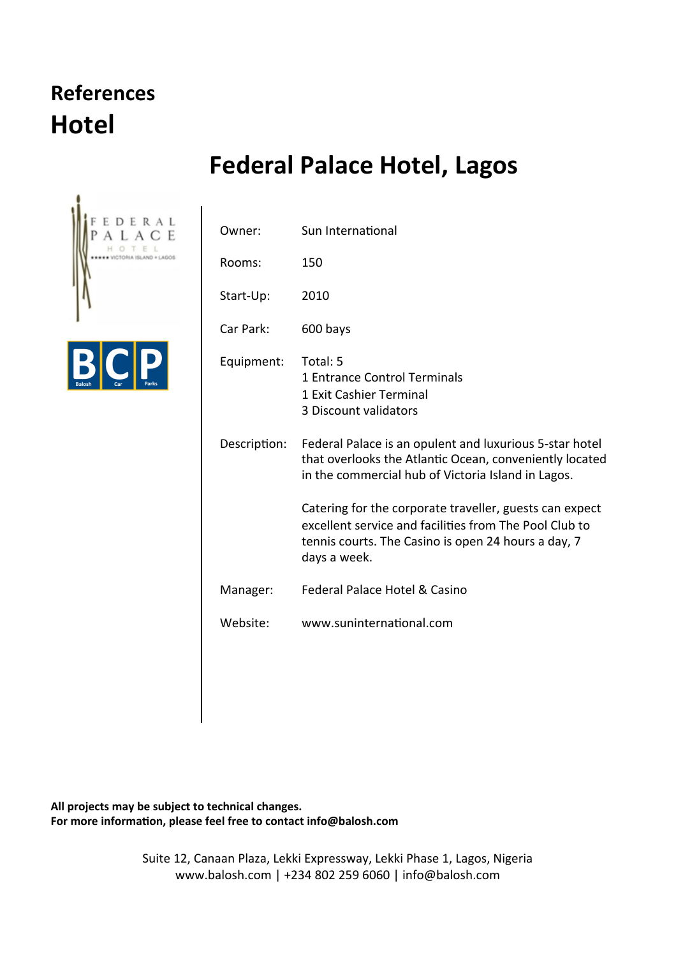#### **References Hotel**

#### **Federal Palace Hotel, Lagos**





| Owner:       | Sun International                                                                                                                                                                        |
|--------------|------------------------------------------------------------------------------------------------------------------------------------------------------------------------------------------|
| Rooms:       | 150                                                                                                                                                                                      |
| Start-Up:    | 2010                                                                                                                                                                                     |
| Car Park:    | 600 bays                                                                                                                                                                                 |
| Equipment:   | Total: 5<br>1 Entrance Control Terminals<br>1 Exit Cashier Terminal<br>3 Discount validators                                                                                             |
| Description: | Federal Palace is an opulent and luxurious 5-star hotel<br>that overlooks the Atlantic Ocean, conveniently located<br>in the commercial hub of Victoria Island in Lagos.                 |
|              | Catering for the corporate traveller, guests can expect<br>excellent service and facilities from The Pool Club to<br>tennis courts. The Casino is open 24 hours a day, 7<br>days a week. |
| Manager:     | Federal Palace Hotel & Casino                                                                                                                                                            |
| Website:     | www.suninternational.com                                                                                                                                                                 |
|              |                                                                                                                                                                                          |

All projects may be subject to technical changes. For more information, please feel free to contact info@balosh.com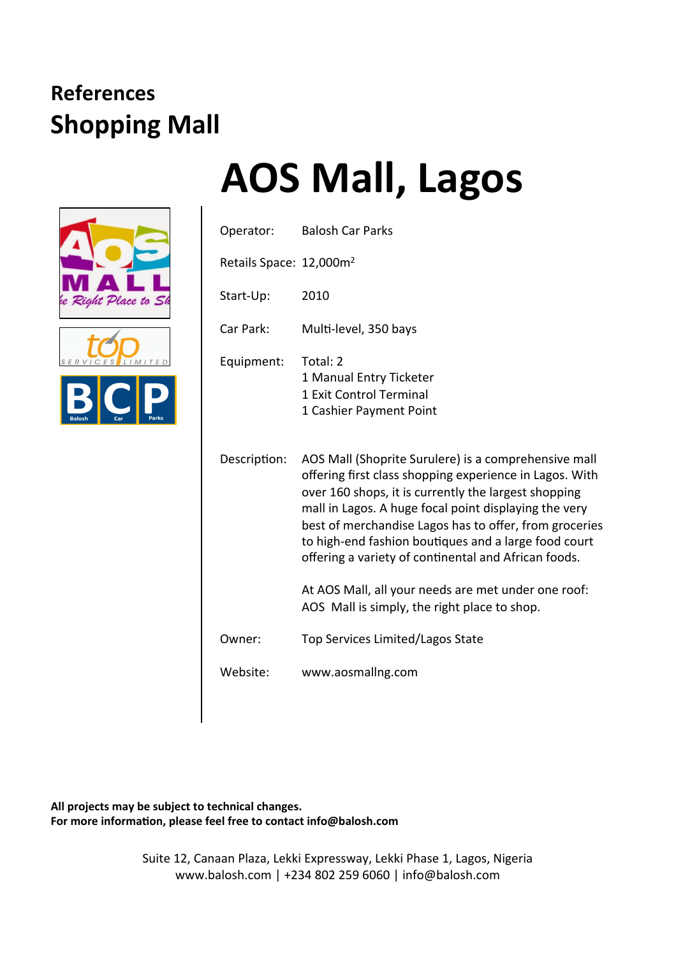





| <b>AOS Mall, Lagos</b> |  |
|------------------------|--|
|------------------------|--|

| Operator:                           | <b>Balosh Car Parks</b>                                                                                                                                                                                                                                                                                                                                                                                    |
|-------------------------------------|------------------------------------------------------------------------------------------------------------------------------------------------------------------------------------------------------------------------------------------------------------------------------------------------------------------------------------------------------------------------------------------------------------|
| Retails Space: 12,000m <sup>2</sup> |                                                                                                                                                                                                                                                                                                                                                                                                            |
| Start-Up:                           | 2010                                                                                                                                                                                                                                                                                                                                                                                                       |
| Car Park:                           | Multi-level, 350 bays                                                                                                                                                                                                                                                                                                                                                                                      |
| Equipment:                          | Total: 2<br>1 Manual Entry Ticketer<br>1 Exit Control Terminal<br>1 Cashier Payment Point                                                                                                                                                                                                                                                                                                                  |
| Description:                        | AOS Mall (Shoprite Surulere) is a comprehensive mall<br>offering first class shopping experience in Lagos. With<br>over 160 shops, it is currently the largest shopping<br>mall in Lagos. A huge focal point displaying the very<br>best of merchandise Lagos has to offer, from groceries<br>to high-end fashion boutiques and a large food court<br>offering a variety of continental and African foods. |
|                                     | At AOS Mall, all your needs are met under one roof:<br>AOS Mall is simply, the right place to shop.                                                                                                                                                                                                                                                                                                        |
| Owner:                              | Top Services Limited/Lagos State                                                                                                                                                                                                                                                                                                                                                                           |
| Website:                            | www.aosmallng.com                                                                                                                                                                                                                                                                                                                                                                                          |

All projects may be subject to technical changes. For more information, please feel free to contact info@balosh.com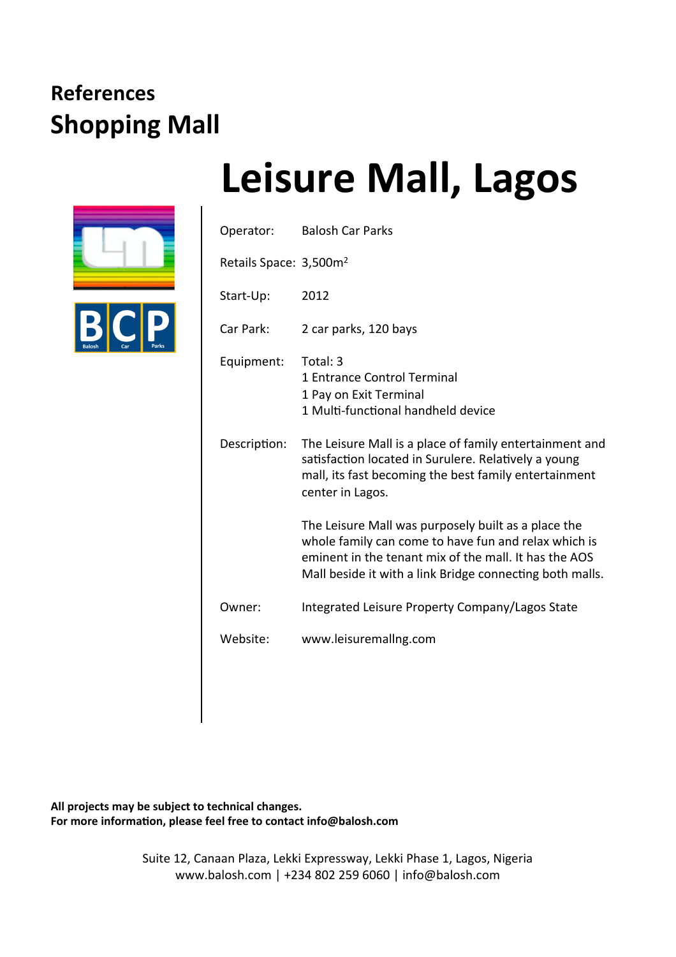

## **Leisure Mall, Lagos**

| Operator:                          | <b>Balosh Car Parks</b>                                                                                                                                                                                                          |
|------------------------------------|----------------------------------------------------------------------------------------------------------------------------------------------------------------------------------------------------------------------------------|
| Retails Space: 3,500m <sup>2</sup> |                                                                                                                                                                                                                                  |
| Start-Up:                          | 2012                                                                                                                                                                                                                             |
| Car Park:                          | 2 car parks, 120 bays                                                                                                                                                                                                            |
| Equipment:                         | Total: 3<br>1 Entrance Control Terminal<br>1 Pay on Exit Terminal<br>1 Multi-functional handheld device                                                                                                                          |
| Description:                       | The Leisure Mall is a place of family entertainment and<br>satisfaction located in Surulere. Relatively a young<br>mall, its fast becoming the best family entertainment<br>center in Lagos.                                     |
|                                    | The Leisure Mall was purposely built as a place the<br>whole family can come to have fun and relax which is<br>eminent in the tenant mix of the mall. It has the AOS<br>Mall beside it with a link Bridge connecting both malls. |
| Owner:                             | Integrated Leisure Property Company/Lagos State                                                                                                                                                                                  |
| Website:                           | www.leisuremallng.com                                                                                                                                                                                                            |
|                                    |                                                                                                                                                                                                                                  |

All projects may be subject to technical changes. For more information, please feel free to contact info@balosh.com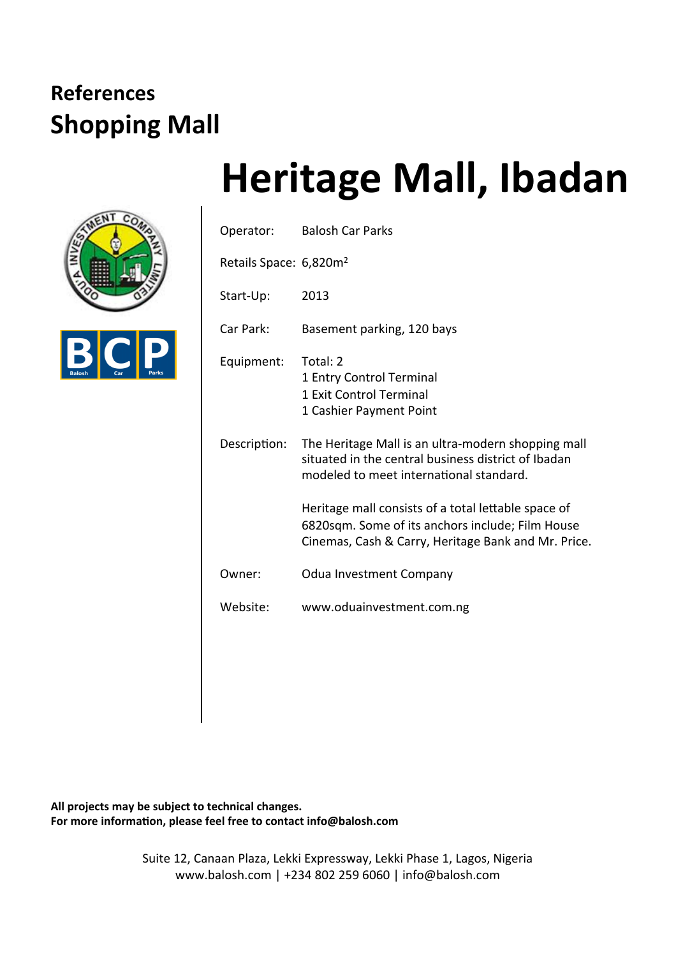



# **Heritage Mall, Ibadan**

|                                    | Operator: Balosh Car Parks                                                                                                                                     |
|------------------------------------|----------------------------------------------------------------------------------------------------------------------------------------------------------------|
| Retails Space: 6,820m <sup>2</sup> |                                                                                                                                                                |
| Start-Up:                          | 2013                                                                                                                                                           |
| Car Park:                          | Basement parking, 120 bays                                                                                                                                     |
| Equipment:                         | Total: 2<br>1 Entry Control Terminal<br>1 Exit Control Terminal<br>1 Cashier Payment Point                                                                     |
| Description:                       | The Heritage Mall is an ultra-modern shopping mall<br>situated in the central business district of Ibadan<br>modeled to meet international standard.           |
|                                    | Heritage mall consists of a total lettable space of<br>6820sqm. Some of its anchors include; Film House<br>Cinemas, Cash & Carry, Heritage Bank and Mr. Price. |
| Owner:                             | <b>Odua Investment Company</b>                                                                                                                                 |
| Website:                           | www.oduainvestment.com.ng                                                                                                                                      |
|                                    |                                                                                                                                                                |

All projects may be subject to technical changes. For more information, please feel free to contact info@balosh.com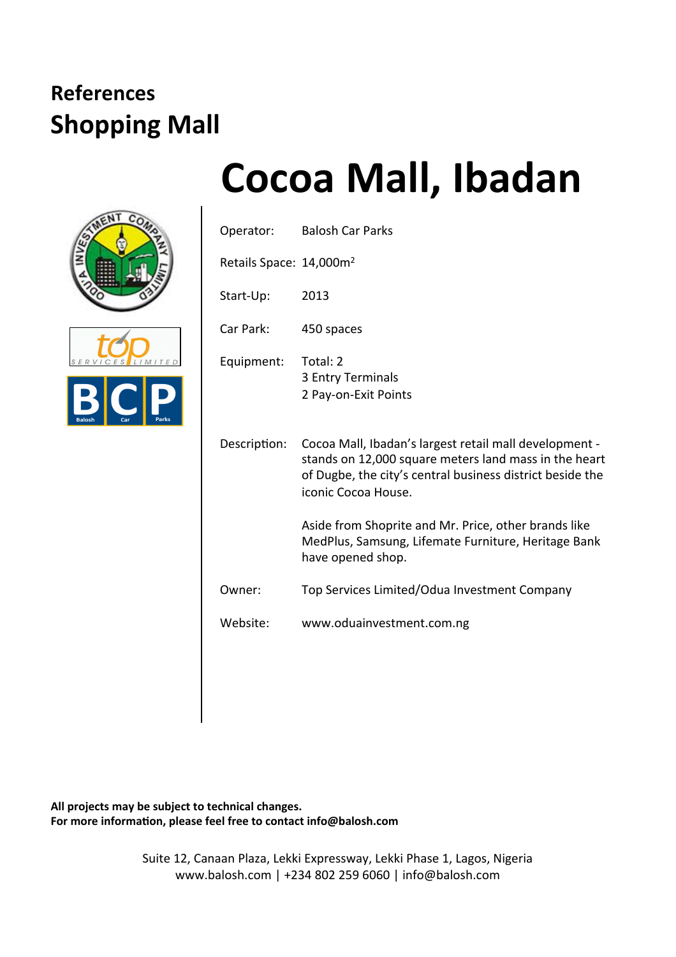





| Operator:                           | <b>Balosh Car Parks</b>                                                                                                                                                                             |
|-------------------------------------|-----------------------------------------------------------------------------------------------------------------------------------------------------------------------------------------------------|
| Retails Space: 14,000m <sup>2</sup> |                                                                                                                                                                                                     |
| Start-Up:                           | 2013                                                                                                                                                                                                |
| Car Park:                           | 450 spaces                                                                                                                                                                                          |
| Equipment:                          | Total: 2<br>3 Entry Terminals<br>2 Pay-on-Exit Points                                                                                                                                               |
| Description:                        | Cocoa Mall, Ibadan's largest retail mall development -<br>stands on 12,000 square meters land mass in the heart<br>of Dugbe, the city's central business district beside the<br>iconic Cocoa House. |
|                                     | Aside from Shoprite and Mr. Price, other brands like<br>MedPlus, Samsung, Lifemate Furniture, Heritage Bank<br>have opened shop.                                                                    |
| Owner:                              | Top Services Limited/Odua Investment Company                                                                                                                                                        |
| Website:                            | www.oduainvestment.com.ng                                                                                                                                                                           |

All projects may be subject to technical changes. For more information, please feel free to contact info@balosh.com

> Suite 12, Canaan Plaza, Lekki Expressway, Lekki Phase 1, Lagos, Nigeria www.balosh.com | +234 802 259 6060 | info@balosh.com

## **Cocoa Mall, Ibadan**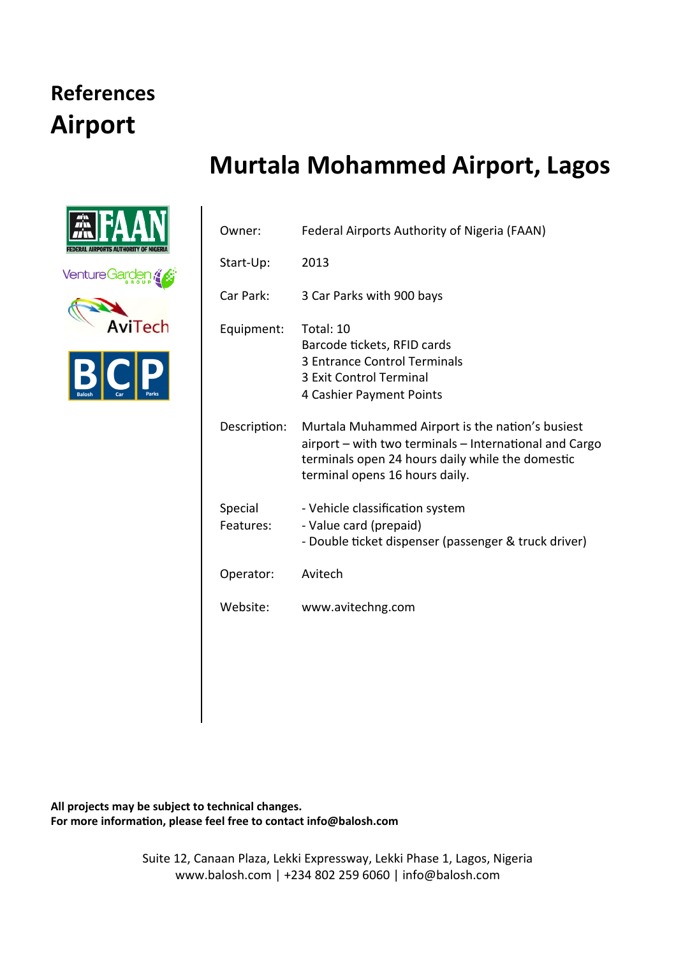#### **References Airport**

#### **Murtala Mohammed Airport, Lagos**



| Owner:               | Federal Airports Authority of Nigeria (FAAN)                                                                                                                                                     |
|----------------------|--------------------------------------------------------------------------------------------------------------------------------------------------------------------------------------------------|
| Start-Up:            | 2013                                                                                                                                                                                             |
| Car Park:            | 3 Car Parks with 900 bays                                                                                                                                                                        |
| Equipment:           | Total: 10<br>Barcode tickets, RFID cards<br>3 Entrance Control Terminals<br>3 Exit Control Terminal<br>4 Cashier Payment Points                                                                  |
| Description:         | Murtala Muhammed Airport is the nation's busiest<br>airport - with two terminals - International and Cargo<br>terminals open 24 hours daily while the domestic<br>terminal opens 16 hours daily. |
| Special<br>Features: | - Vehicle classification system<br>- Value card (prepaid)<br>- Double ticket dispenser (passenger & truck driver)                                                                                |
| Operator:            | Avitech                                                                                                                                                                                          |
| Website:             | www.avitechng.com                                                                                                                                                                                |
|                      |                                                                                                                                                                                                  |

All projects may be subject to technical changes. For more information, please feel free to contact info@balosh.com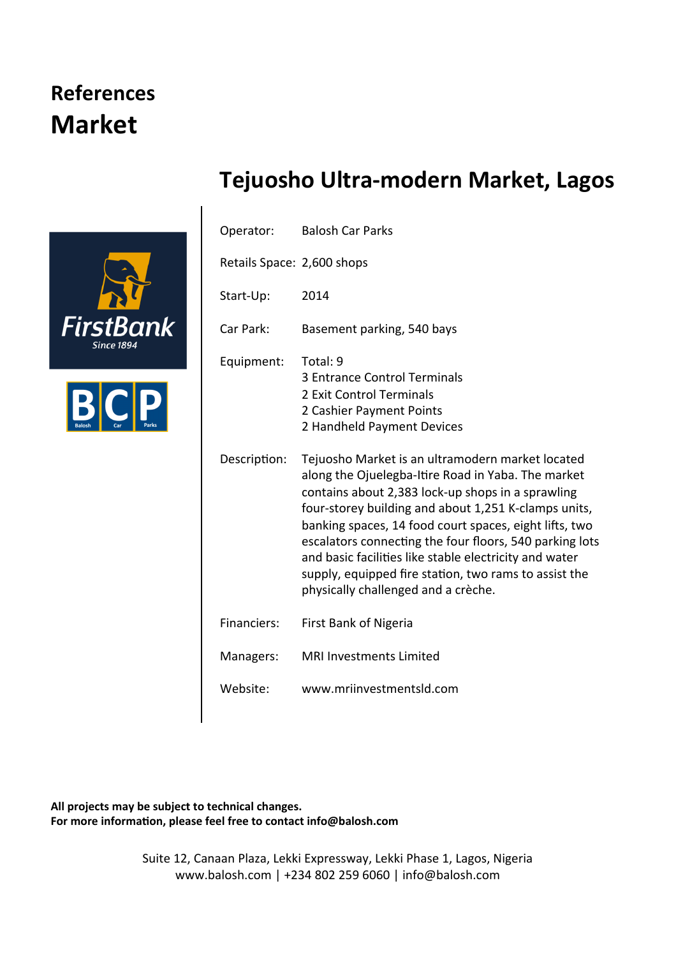#### **References Market**





|  |  | Tejuosho Ultra-modern Market, Lagos |
|--|--|-------------------------------------|
|--|--|-------------------------------------|

| Operator:                  | <b>Balosh Car Parks</b>                                                                                                                                                                                                                                                                                                                                                                                                                                                                            |
|----------------------------|----------------------------------------------------------------------------------------------------------------------------------------------------------------------------------------------------------------------------------------------------------------------------------------------------------------------------------------------------------------------------------------------------------------------------------------------------------------------------------------------------|
| Retails Space: 2,600 shops |                                                                                                                                                                                                                                                                                                                                                                                                                                                                                                    |
| Start-Up:                  | 2014                                                                                                                                                                                                                                                                                                                                                                                                                                                                                               |
| Car Park:                  | Basement parking, 540 bays                                                                                                                                                                                                                                                                                                                                                                                                                                                                         |
| Equipment:                 | Total: 9<br>3 Entrance Control Terminals<br>2 Exit Control Terminals<br>2 Cashier Payment Points<br>2 Handheld Payment Devices                                                                                                                                                                                                                                                                                                                                                                     |
| Description:               | Tejuosho Market is an ultramodern market located<br>along the Ojuelegba-Itire Road in Yaba. The market<br>contains about 2,383 lock-up shops in a sprawling<br>four-storey building and about 1,251 K-clamps units,<br>banking spaces, 14 food court spaces, eight lifts, two<br>escalators connecting the four floors, 540 parking lots<br>and basic facilities like stable electricity and water<br>supply, equipped fire station, two rams to assist the<br>physically challenged and a crèche. |
| Financiers:                | First Bank of Nigeria                                                                                                                                                                                                                                                                                                                                                                                                                                                                              |
| Managers:                  | <b>MRI Investments Limited</b>                                                                                                                                                                                                                                                                                                                                                                                                                                                                     |
| Website:                   | www.mriinvestmentsld.com                                                                                                                                                                                                                                                                                                                                                                                                                                                                           |

All projects may be subject to technical changes. For more information, please feel free to contact info@balosh.com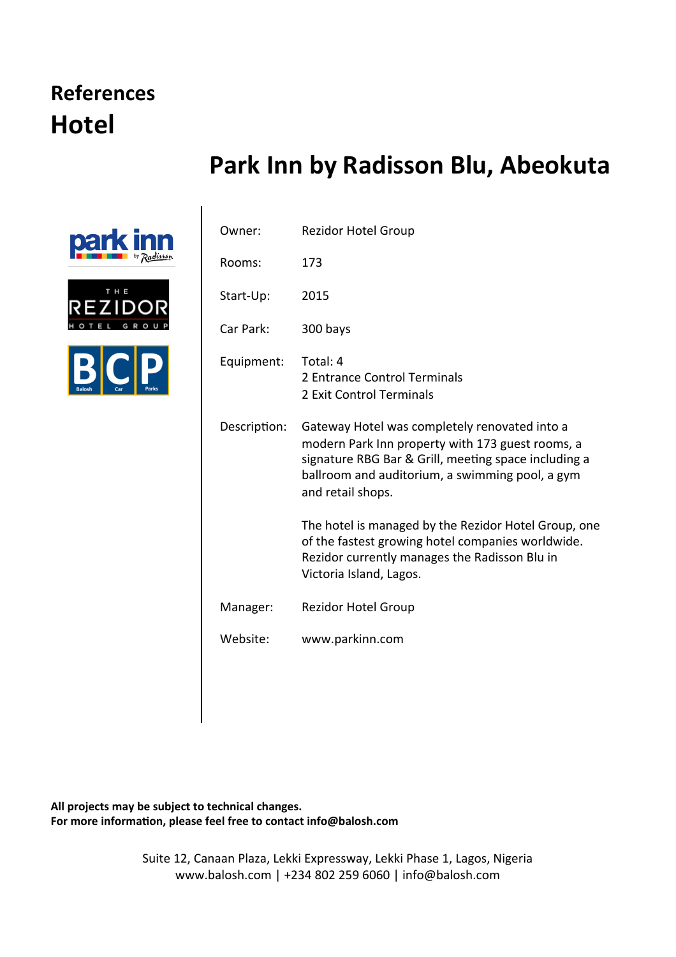#### **References Hotel**

#### **Park Inn by Radisson Blu, Abeokuta**







| Owner:       | <b>Rezidor Hotel Group</b>                                                                                                                                                                                                        |
|--------------|-----------------------------------------------------------------------------------------------------------------------------------------------------------------------------------------------------------------------------------|
| Rooms:       | 173                                                                                                                                                                                                                               |
| Start-Up:    | 2015                                                                                                                                                                                                                              |
| Car Park:    | 300 bays                                                                                                                                                                                                                          |
| Equipment:   | Total: 4<br>2 Entrance Control Terminals<br>2 Exit Control Terminals                                                                                                                                                              |
| Description: | Gateway Hotel was completely renovated into a<br>modern Park Inn property with 173 guest rooms, a<br>signature RBG Bar & Grill, meeting space including a<br>ballroom and auditorium, a swimming pool, a gym<br>and retail shops. |
|              | The hotel is managed by the Rezidor Hotel Group, one<br>of the fastest growing hotel companies worldwide.<br>Rezidor currently manages the Radisson Blu in<br>Victoria Island, Lagos.                                             |
| Manager:     | <b>Rezidor Hotel Group</b>                                                                                                                                                                                                        |
| Website:     | www.parkinn.com                                                                                                                                                                                                                   |

All projects may be subject to technical changes. For more information, please feel free to contact info@balosh.com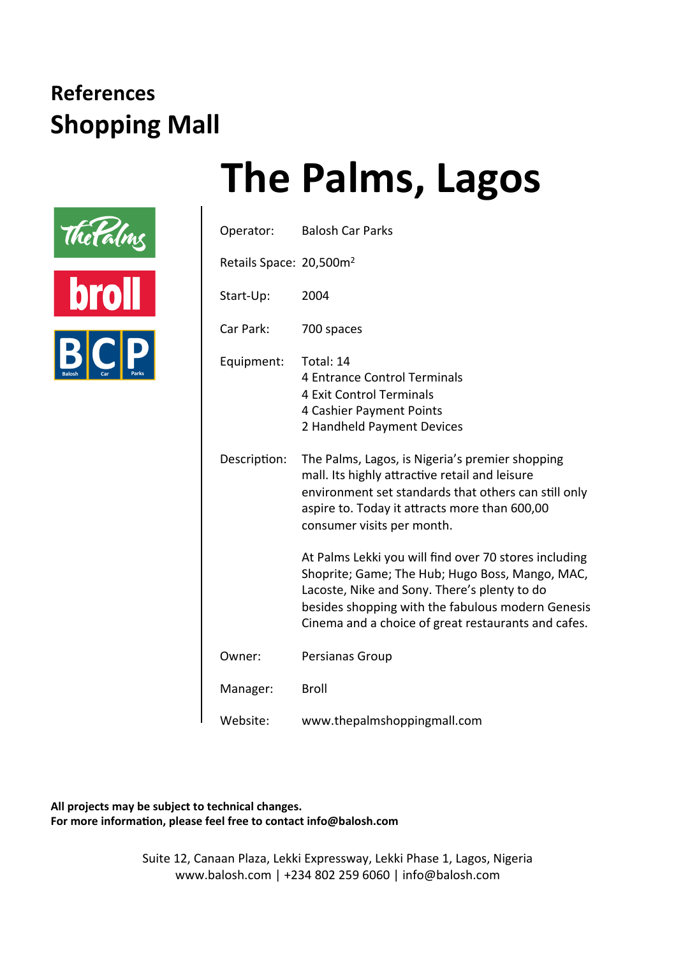

### **The Palms, Lagos**

| Operator:                           | <b>Balosh Car Parks</b>                                                                                                                                                                                                                                              |
|-------------------------------------|----------------------------------------------------------------------------------------------------------------------------------------------------------------------------------------------------------------------------------------------------------------------|
| Retails Space: 20,500m <sup>2</sup> |                                                                                                                                                                                                                                                                      |
| Start-Up:                           | 2004                                                                                                                                                                                                                                                                 |
| Car Park:                           | 700 spaces                                                                                                                                                                                                                                                           |
| Equipment:                          | Total: 14<br><b>4 Entrance Control Terminals</b><br><b>4 Exit Control Terminals</b><br>4 Cashier Payment Points<br>2 Handheld Payment Devices                                                                                                                        |
| Description:                        | The Palms, Lagos, is Nigeria's premier shopping<br>mall. Its highly attractive retail and leisure<br>environment set standards that others can still only<br>aspire to. Today it attracts more than 600,00<br>consumer visits per month.                             |
|                                     | At Palms Lekki you will find over 70 stores including<br>Shoprite; Game; The Hub; Hugo Boss, Mango, MAC,<br>Lacoste, Nike and Sony. There's plenty to do<br>besides shopping with the fabulous modern Genesis<br>Cinema and a choice of great restaurants and cafes. |
| Owner:                              | Persianas Group                                                                                                                                                                                                                                                      |
| Manager:                            | <b>Broll</b>                                                                                                                                                                                                                                                         |
| Website:                            | www.thepalmshoppingmall.com                                                                                                                                                                                                                                          |

All projects may be subject to technical changes. For more information, please feel free to contact info@balosh.com